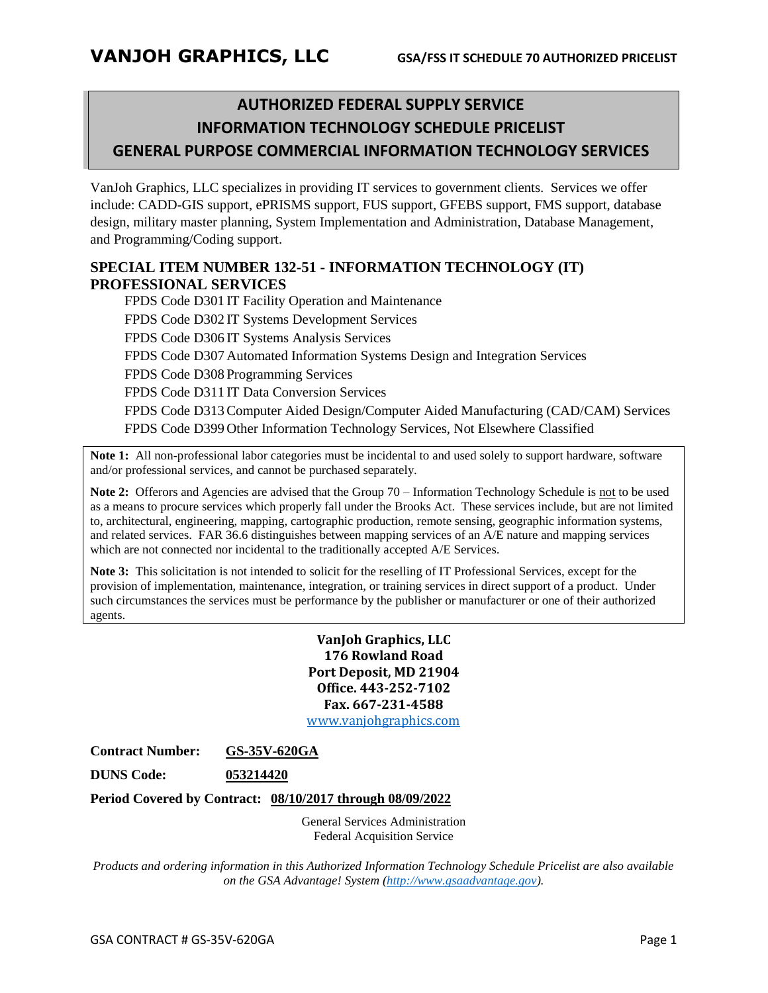# **AUTHORIZED FEDERAL SUPPLY SERVICE INFORMATION TECHNOLOGY SCHEDULE PRICELIST GENERAL PURPOSE COMMERCIAL INFORMATION TECHNOLOGY SERVICES**

VanJoh Graphics, LLC specializes in providing IT services to government clients. Services we offer include: CADD-GIS support, ePRISMS support, FUS support, GFEBS support, FMS support, database design, military master planning, System Implementation and Administration, Database Management, and Programming/Coding support.

#### **SPECIAL ITEM NUMBER 132-51 - INFORMATION TECHNOLOGY (IT) PROFESSIONAL SERVICES**

FPDS Code D301 IT Facility Operation and Maintenance FPDS Code D302 IT Systems Development Services FPDS Code D306 IT Systems Analysis Services FPDS Code D307 Automated Information Systems Design and Integration Services FPDS Code D308 Programming Services FPDS Code D311 IT Data Conversion Services FPDS Code D313Computer Aided Design/Computer Aided Manufacturing (CAD/CAM) Services FPDS Code D399 Other Information Technology Services, Not Elsewhere Classified

**Note 1:** All non-professional labor categories must be incidental to and used solely to support hardware, software and/or professional services, and cannot be purchased separately.

**Note 2:** Offerors and Agencies are advised that the Group 70 – Information Technology Schedule is not to be used as a means to procure services which properly fall under the Brooks Act. These services include, but are not limited to, architectural, engineering, mapping, cartographic production, remote sensing, geographic information systems, and related services. FAR 36.6 distinguishes between mapping services of an A/E nature and mapping services which are not connected nor incidental to the traditionally accepted A/E Services.

**Note 3:** This solicitation is not intended to solicit for the reselling of IT Professional Services, except for the provision of implementation, maintenance, integration, or training services in direct support of a product. Under such circumstances the services must be performance by the publisher or manufacturer or one of their authorized agents.

> **VanJoh Graphics, LLC 176 Rowland Road Port Deposit, MD 21904 Office. 443-252-7102 Fax. 667-231-4588**

> [www.vanjohgraphics.com](http://www.vanjohgraphics.com/)

**Contract Number: GS-35V-620GA**

**DUNS Code: 053214420**

**Period Covered by Contract: 08/10/2017 through 08/09/2022**

General Services Administration Federal Acquisition Service

*Products and ordering information in this Authorized Information Technology Schedule Pricelist are also available on the GSA Advantage! System [\(http://www.gsaadvantage.gov\)](http://www.gsaadvantage.gov/).*